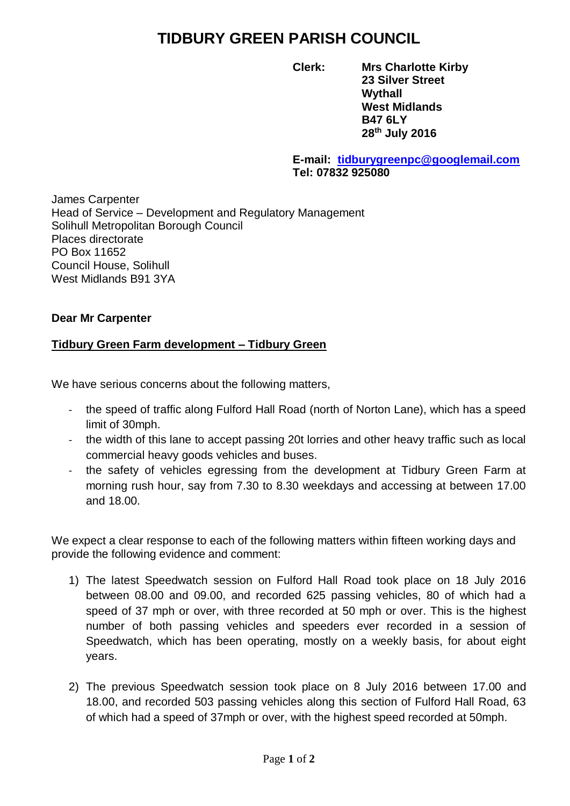## **TIDBURY GREEN PARISH COUNCIL**

**Clerk: Mrs Charlotte Kirby 23 Silver Street Wythall West Midlands B47 6LY 28th July 2016**

## **E-mail: [tidburygreenpc@googlemail.com](mailto:tidburygreenpc@googlemail.com) Tel: 07832 925080**

James Carpenter Head of Service – Development and Regulatory Management Solihull Metropolitan Borough Council Places directorate PO Box 11652 Council House, Solihull West Midlands B91 3YA

## **Dear Mr Carpenter**

## **Tidbury Green Farm development – Tidbury Green**

We have serious concerns about the following matters,

- the speed of traffic along Fulford Hall Road (north of Norton Lane), which has a speed limit of 30mph.
- the width of this lane to accept passing 20t lorries and other heavy traffic such as local commercial heavy goods vehicles and buses.
- the safety of vehicles egressing from the development at Tidbury Green Farm at morning rush hour, say from 7.30 to 8.30 weekdays and accessing at between 17.00 and 18.00.

We expect a clear response to each of the following matters within fifteen working days and provide the following evidence and comment:

- 1) The latest Speedwatch session on Fulford Hall Road took place on 18 July 2016 between 08.00 and 09.00, and recorded 625 passing vehicles, 80 of which had a speed of 37 mph or over, with three recorded at 50 mph or over. This is the highest number of both passing vehicles and speeders ever recorded in a session of Speedwatch, which has been operating, mostly on a weekly basis, for about eight years.
- 2) The previous Speedwatch session took place on 8 July 2016 between 17.00 and 18.00, and recorded 503 passing vehicles along this section of Fulford Hall Road, 63 of which had a speed of 37mph or over, with the highest speed recorded at 50mph.